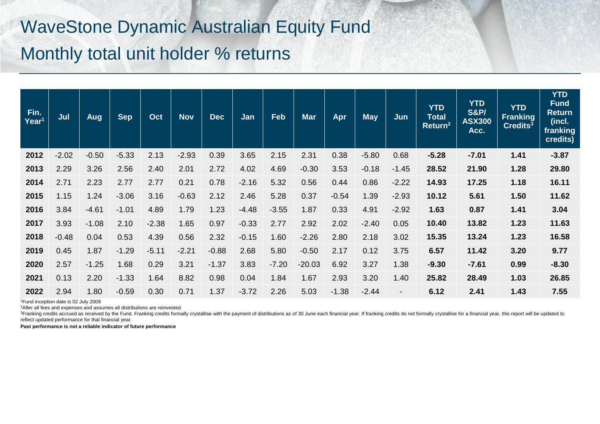## WaveStone Dynamic Australian Equity Fund Monthly total unit holder % returns

| Fin.<br>Year <sup>1</sup> | Jul     | Aug     | <b>Sep</b> | Oct     | <b>Nov</b> | <b>Dec</b> | Jan     | Feb     | <b>Mar</b> | Apr     | <b>May</b> | Jun                      | <b>YTD</b><br><b>Total</b><br>Return <sup>2</sup> | <b>YTD</b><br><b>S&amp;P/</b><br><b>ASX300</b><br>Acc. | <b>YTD</b><br><b>Franking</b><br>Credits $3$ | <b>YTD</b><br><b>Fund</b><br><b>Return</b><br>(incl.<br>franking<br>credits) |
|---------------------------|---------|---------|------------|---------|------------|------------|---------|---------|------------|---------|------------|--------------------------|---------------------------------------------------|--------------------------------------------------------|----------------------------------------------|------------------------------------------------------------------------------|
| 2012                      | $-2.02$ | $-0.50$ | $-5.33$    | 2.13    | $-2.93$    | 0.39       | 3.65    | 2.15    | 2.31       | 0.38    | $-5.80$    | 0.68                     | $-5.28$                                           | $-7.01$                                                | 1.41                                         | $-3.87$                                                                      |
| 2013                      | 2.29    | 3.26    | 2.56       | 2.40    | 2.01       | 2.72       | 4.02    | 4.69    | $-0.30$    | 3.53    | $-0.18$    | $-1.45$                  | 28.52                                             | 21.90                                                  | 1.28                                         | 29.80                                                                        |
| 2014                      | 2.71    | 2.23    | 2.77       | 2.77    | 0.21       | 0.78       | $-2.16$ | 5.32    | 0.56       | 0.44    | 0.86       | $-2.22$                  | 14.93                                             | 17.25                                                  | 1.18                                         | 16.11                                                                        |
| 2015                      | 1.15    | 1.24    | $-3.06$    | 3.16    | $-0.63$    | 2.12       | 2.46    | 5.28    | 0.37       | $-0.54$ | 1.39       | $-2.93$                  | 10.12                                             | 5.61                                                   | 1.50                                         | 11.62                                                                        |
| 2016                      | 3.84    | $-4.61$ | $-1.01$    | 4.89    | 1.79       | 1.23       | $-4.48$ | $-3.55$ | 1.87       | 0.33    | 4.91       | $-2.92$                  | 1.63                                              | 0.87                                                   | 1.41                                         | 3.04                                                                         |
| 2017                      | 3.93    | $-1.08$ | 2.10       | $-2.38$ | 1.65       | 0.97       | $-0.33$ | 2.77    | 2.92       | 2.02    | $-2.40$    | 0.05                     | 10.40                                             | 13.82                                                  | 1.23                                         | 11.63                                                                        |
| 2018                      | $-0.48$ | 0.04    | 0.53       | 4.39    | 0.56       | 2.32       | $-0.15$ | 1.60    | $-2.26$    | 2.80    | 2.18       | 3.02                     | 15.35                                             | 13.24                                                  | 1.23                                         | 16.58                                                                        |
| 2019                      | 0.45    | 1.87    | $-1.29$    | $-5.11$ | $-2.21$    | $-0.88$    | 2.68    | 5.80    | $-0.50$    | 2.17    | 0.12       | 3.75                     | 6.57                                              | 11.42                                                  | 3.20                                         | 9.77                                                                         |
| 2020                      | 2.57    | $-1.25$ | 1.68       | 0.29    | 3.21       | $-1.37$    | 3.83    | $-7.20$ | $-20.03$   | 6.92    | 3.27       | 1.38                     | $-9.30$                                           | $-7.61$                                                | 0.99                                         | $-8.30$                                                                      |
| 2021                      | 0.13    | 2.20    | $-1.33$    | 1.64    | 8.82       | 0.98       | 0.04    | 1.84    | 1.67       | 2.93    | 3.20       | 1.40                     | 25.82                                             | 28.49                                                  | 1.03                                         | 26.85                                                                        |
| 2022                      | 2.94    | 1.80    | $-0.59$    | 0.30    | 0.71       | 1.37       | $-3.72$ | 2.26    | 5.03       | $-1.38$ | $-2.44$    | $\overline{\phantom{a}}$ | 6.12                                              | 2.41                                                   | 1.43                                         | 7.55                                                                         |

<sup>1</sup>Fund inception date is 02 July 2009

<sup>2</sup>After all fees and expenses and assumes all distributions are reinvested.

<sup>3</sup>Franking credits accrued as received by the Fund. Franking credits formally crystallise with the payment of distributions as of 30 June each financial year. If franking credits do not formally crystallise for a financia reflect updated performance for that financial year.

**Past performance is not a reliable indicator of future performance**